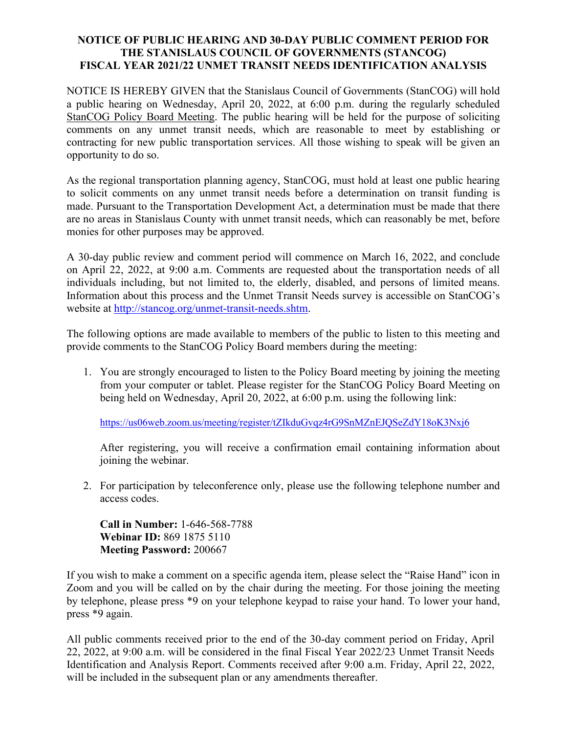## **NOTICE OF PUBLIC HEARING AND 30-DAY PUBLIC COMMENT PERIOD FOR THE STANISLAUS COUNCIL OF GOVERNMENTS (STANCOG) FISCAL YEAR 2021/22 UNMET TRANSIT NEEDS IDENTIFICATION ANALYSIS**

NOTICE IS HEREBY GIVEN that the Stanislaus Council of Governments (StanCOG) will hold a public hearing on Wednesday, April 20, 2022, at 6:00 p.m. during the regularly scheduled StanCOG Policy Board Meeting. The public hearing will be held for the purpose of soliciting comments on any unmet transit needs, which are reasonable to meet by establishing or contracting for new public transportation services. All those wishing to speak will be given an opportunity to do so.

As the regional transportation planning agency, StanCOG, must hold at least one public hearing to solicit comments on any unmet transit needs before a determination on transit funding is made. Pursuant to the Transportation Development Act, a determination must be made that there are no areas in Stanislaus County with unmet transit needs, which can reasonably be met, before monies for other purposes may be approved.

A 30-day public review and comment period will commence on March 16, 2022, and conclude on April 22, 2022, at 9:00 a.m. Comments are requested about the transportation needs of all individuals including, but not limited to, the elderly, disabled, and persons of limited means. Information about this process and the Unmet Transit Needs survey is accessible on StanCOG's website at [http://stancog.org/unmet-transit-needs.shtm.](http://stancog.org/unmet-transit-needs.shtm)

The following options are made available to members of the public to listen to this meeting and provide comments to the StanCOG Policy Board members during the meeting:

1. You are strongly encouraged to listen to the Policy Board meeting by joining the meeting from your computer or tablet. Please register for the StanCOG Policy Board Meeting on being held on Wednesday, April 20, 2022, at 6:00 p.m. using the following link:

<https://us06web.zoom.us/meeting/register/tZIkduGvqz4rG9SnMZnEJQSeZdY18oK3Nxj6>

After registering, you will receive a confirmation email containing information about joining the webinar.

2. For participation by teleconference only, please use the following telephone number and access codes.

**Call in Number:** 1-646-568-7788 **Webinar ID:** 869 1875 5110 **Meeting Password:** 200667

If you wish to make a comment on a specific agenda item, please select the "Raise Hand" icon in Zoom and you will be called on by the chair during the meeting. For those joining the meeting by telephone, please press \*9 on your telephone keypad to raise your hand. To lower your hand, press \*9 again.

All public comments received prior to the end of the 30-day comment period on Friday, April 22, 2022, at 9:00 a.m. will be considered in the final Fiscal Year 2022/23 Unmet Transit Needs Identification and Analysis Report. Comments received after 9:00 a.m. Friday, April 22, 2022, will be included in the subsequent plan or any amendments thereafter.